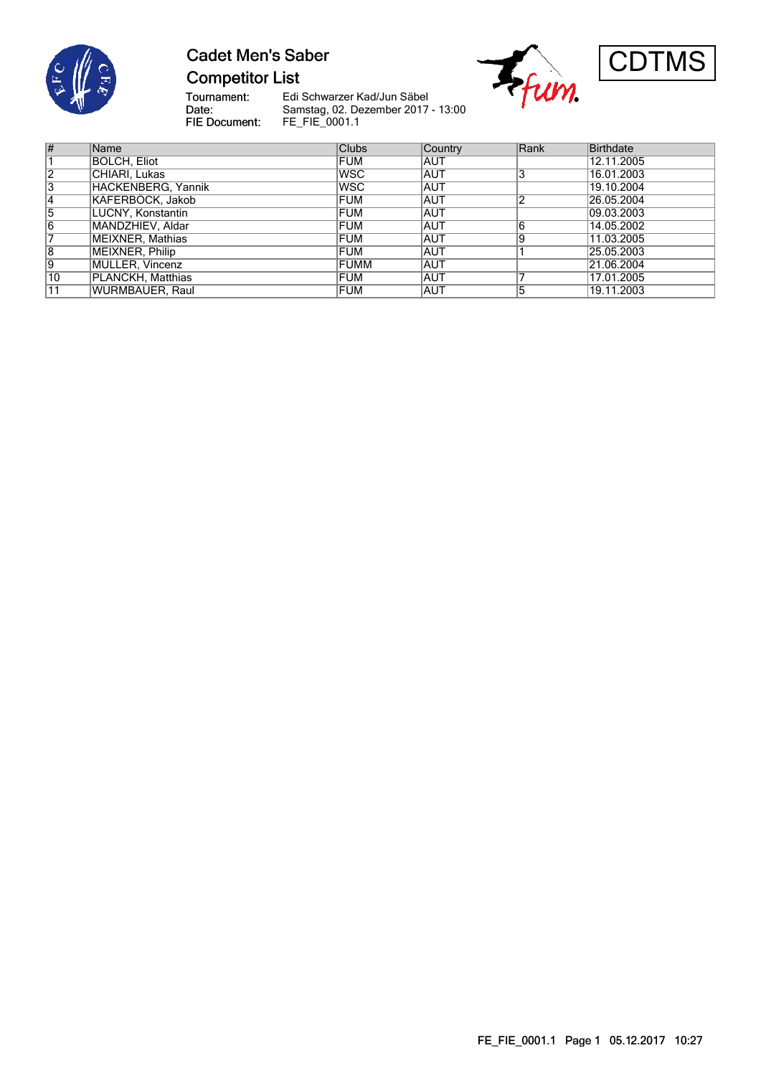

# **Cadet Men's Saber Competitor List**





Tournament:<br>Date:<br>FIE Document:

Edi Schwarzer Kad/Jun Säbel Samstag, 02. Dezember 2017 - 13:00 FE\_FIE\_0001.1

| $\overline{\#}$ | Name               | <b>Clubs</b> | Country    | Rank | <b>Birthdate</b> |
|-----------------|--------------------|--------------|------------|------|------------------|
|                 | BOLCH. Eliot       | FUM          | AUT        |      | 12.11.2005       |
| $\overline{2}$  | CHIARI, Lukas      | <b>WSC</b>   | <b>AUT</b> | 3    | 16.01.2003       |
| $\overline{3}$  | HACKENBERG, Yannik | <b>WSC</b>   | <b>AUT</b> |      | 19.10.2004       |
| 14              | KÄFERBÖCK, Jakob   | <b>FUM</b>   | <b>AUT</b> | ◠    | 26.05.2004       |
| 5               | LUCNY, Konstantin  | <b>FUM</b>   | <b>AUT</b> |      | 09.03.2003       |
| $\overline{6}$  | MANDZHIEV, Aldar   | <b>FUM</b>   | <b>AUT</b> | 6    | 14.05.2002       |
| $\overline{7}$  | MEIXNER, Mathias   | <b>FUM</b>   | <b>AUT</b> | 9    | 11.03.2005       |
| $\overline{8}$  | MEIXNER, Philip    | <b>FUM</b>   | <b>AUT</b> |      | 25.05.2003       |
| 9               | MÜLLER, Vincenz    | FUMM         | <b>AUT</b> |      | 21.06.2004       |
| $\overline{10}$ | PLANCKH, Matthias  | FUM          | <b>AUT</b> |      | 17.01.2005       |
| 11              | WURMBAUER, Raul    | FUM          | <b>AUT</b> | 5    | 19.11.2003       |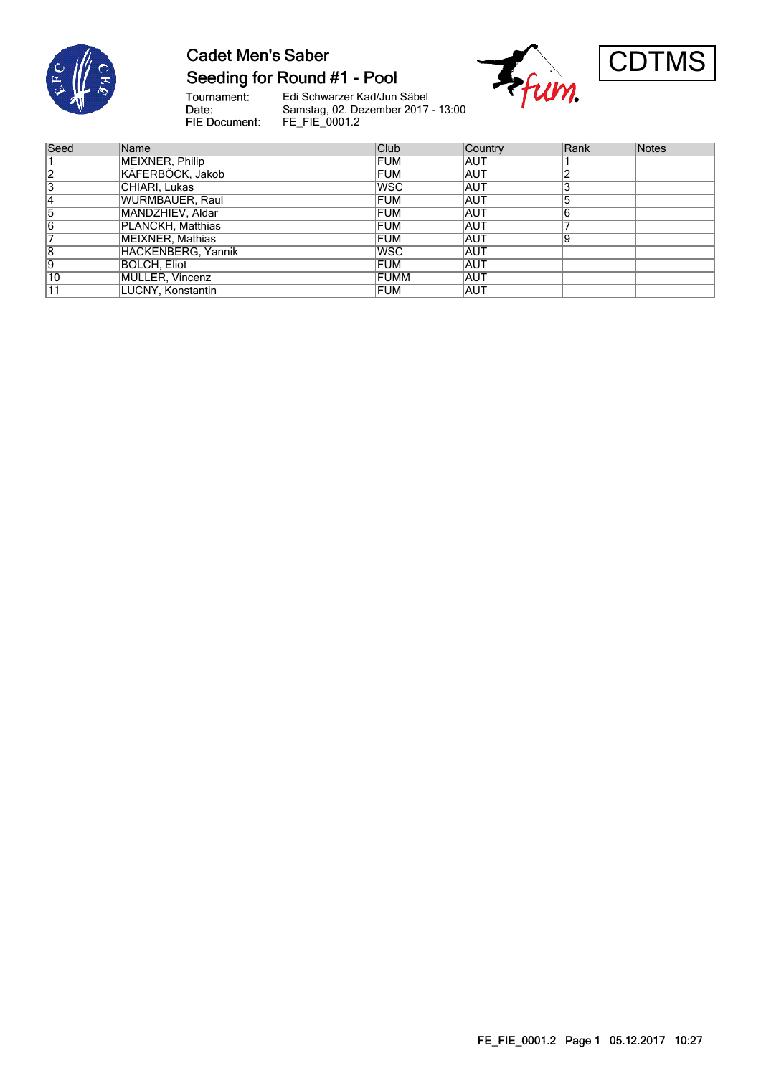

### **Cadet Men's Saber** Seeding for Round #1 - Pool

Tournament:<br>Date: FIE Document:

Edi Schwarzer Kad/Jun Säbel Samstag, 02. Dezember 2017 - 13:00 FE\_FIE\_0001.2





| Seed | Name               | Club       | Country    | Rank | Notes |
|------|--------------------|------------|------------|------|-------|
|      | MEIXNER, Philip    | <b>FUM</b> | AUT        |      |       |
| 12   | KÄFERBÖCK, Jakob   | <b>FUM</b> | <b>AUT</b> |      |       |
| 3    | CHIARI, Lukas      | <b>WSC</b> | <b>AUT</b> | 3    |       |
| 4    | WURMBAUER, Raul    | <b>FUM</b> | AUT        | 5    |       |
| 5    | MANDZHIEV, Aldar   | <b>FUM</b> | <b>AUT</b> | 6    |       |
| 6    | PLANCKH, Matthias  | <b>FUM</b> | <b>AUT</b> |      |       |
|      | MEIXNER, Mathias   | <b>FUM</b> | <b>AUT</b> | 9    |       |
| 8    | HACKENBERG, Yannik | lwsc       | <b>AUT</b> |      |       |
| Ι9   | BOLCH. Eliot       | FUM        | <b>AUT</b> |      |       |
| 10   | MÜLLER, Vincenz    | FUMM       | <b>AUT</b> |      |       |
| 11   | LUCNY, Konstantin  | <b>FUM</b> | <b>AUT</b> |      |       |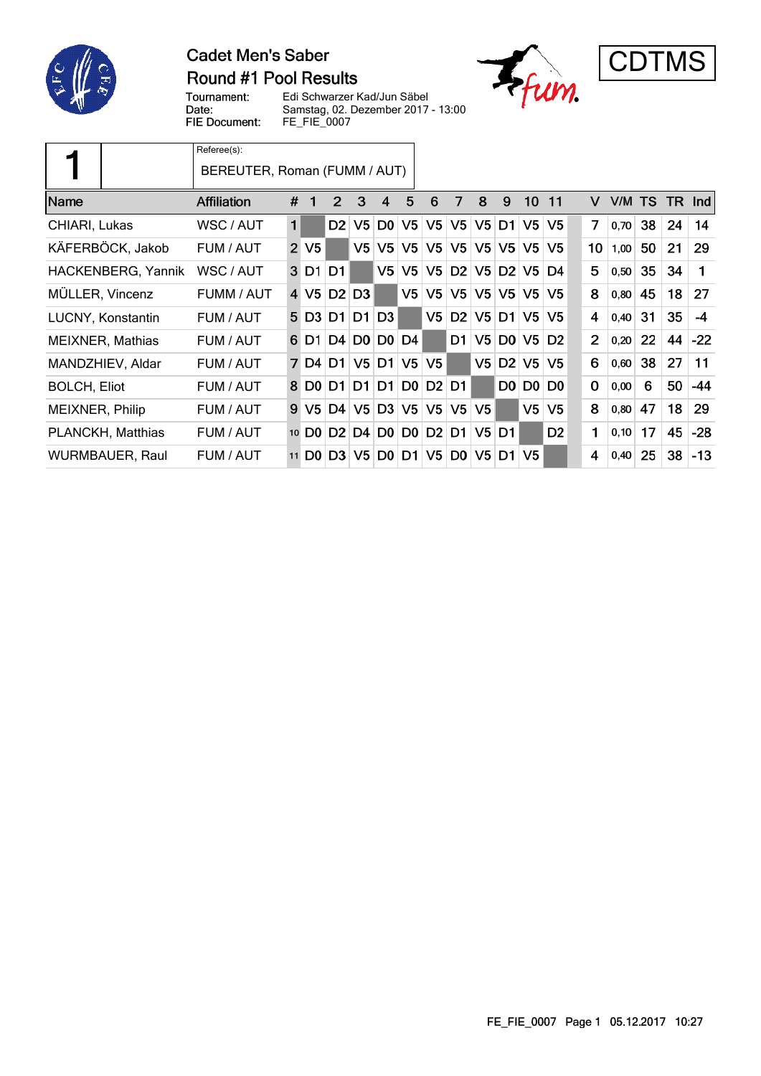

#### **Cadet Men's Saber** Round #1 Pool Results





Tournament: Edi Schwarzer Kad/Jun Säbel Date: Samstag, 02. Dezember 2017 - 13:00 FIE Document: FE\_FIE\_0007

|                         | Referee(s):<br>BEREUTER, Roman (FUMM / AUT) |                |                   |                |                |                |                |                |                |                |                |                 |                     |             |      |           |     |            |
|-------------------------|---------------------------------------------|----------------|-------------------|----------------|----------------|----------------|----------------|----------------|----------------|----------------|----------------|-----------------|---------------------|-------------|------|-----------|-----|------------|
| <b>IName</b>            | <b>Affiliation</b>                          | #              | 1                 | 2              | 3              | 4              | 5              | 6              | 7              | 8              | 9              | 10 <sub>1</sub> | 11                  | $\vee$      | V/M  | <b>TS</b> | TR. | <b>Ind</b> |
| CHIARI, Lukas           | WSC / AUT                                   | $\mathbf{1}$   |                   | D <sub>2</sub> | V5             |                | D0 V5          | V <sub>5</sub> | V <sub>5</sub> | V <sub>5</sub> | D1             | V <sub>5</sub>  | V5                  | 7           | 0,70 | 38        | 24  | 14         |
| KÄFERBÖCK, Jakob        | FUM / AUT                                   | $\overline{2}$ | V <sub>5</sub>    |                | V5             | V <sub>5</sub> | V <sub>5</sub> | V <sub>5</sub> | V <sub>5</sub> | V <sub>5</sub> | V5             | V <sub>5</sub>  | V5                  | 10          | 1,00 | 50        | 21  | 29         |
| HACKENBERG, Yannik      | WSC / AUT                                   |                | 3 D1              | D1             |                | V <sub>5</sub> | V <sub>5</sub> | V <sub>5</sub> | D <sub>2</sub> | V <sub>5</sub> | D2             |                 | $V5$ D4             | 5           | 0,50 | 35        | 34  | 1          |
| MÜLLER, Vincenz         | FUMM / AUT                                  | 4              | V5                | D <sub>2</sub> | D <sub>3</sub> |                | V <sub>5</sub> | V5             | V5             | V <sub>5</sub> | V5             | V <sub>5</sub>  | V5                  | 8           | 0,80 | 45        | 18  | 27         |
| LUCNY, Konstantin       | FUM / AUT                                   |                | 5 D <sub>3</sub>  | D1             | D <sub>1</sub> | D <sub>3</sub> |                | V <sub>5</sub> | D <sub>2</sub> | V <sub>5</sub> | D1             | V <sub>5</sub>  | V5                  | 4           | 0,40 | 31        | 35  | $-4$       |
| <b>MEIXNER, Mathias</b> | FUM / AUT                                   |                | 6 D1              | D4             | D0             |                | $D0$ D4        |                | D1             | V <sub>5</sub> |                | D0 V5 D2        |                     | 2           | 0,20 | 22        | 44  | $-22$      |
| MANDZHIEV, Aldar        | FUM / AUT                                   |                | 7 D4              | D1             | V <sub>5</sub> |                | $D1$ V5        | V <sub>5</sub> |                | V5             | D2             | V <sub>5</sub>  | V <sub>5</sub>      | 6           | 0,60 | 38        | 27  | 11         |
| <b>BOLCH, Eliot</b>     | FUM / AUT                                   |                | 8 D <sub>0</sub>  | D1             | D1             | D1             | <b>DO D2</b>   |                | D1             |                | D <sub>0</sub> |                 | $D0$ D <sub>0</sub> | $\mathbf 0$ | 0,00 | 6         | 50  | $-44$      |
| MEIXNER, Philip         | FUM / AUT                                   | 9              | V5                | D4             | V <sub>5</sub> |                | D3 V5          | V5             | V5             | V5             |                | V <sub>5</sub>  | V <sub>5</sub>      | 8           | 0,80 | 47        | 18  | 29         |
| PLANCKH, Matthias       | FUM / AUT                                   |                | 10 D <sub>0</sub> | D <sub>2</sub> | D4             | D <sub>0</sub> | D <sub>0</sub> | D2             | D1             | V5             | D1             |                 | D <sub>2</sub>      | 1           | 0,10 | 17        | 45  | $-28$      |
| WURMBAUER, Raul         | FUM / AUT                                   |                | 11 D <sub>0</sub> | D <sub>3</sub> | V5.            |                | D0 D1 V5       |                | D <sub>0</sub> | V5             | D <sub>1</sub> | V <sub>5</sub>  |                     | 4           | 0,40 | 25        | 38  | $-13$      |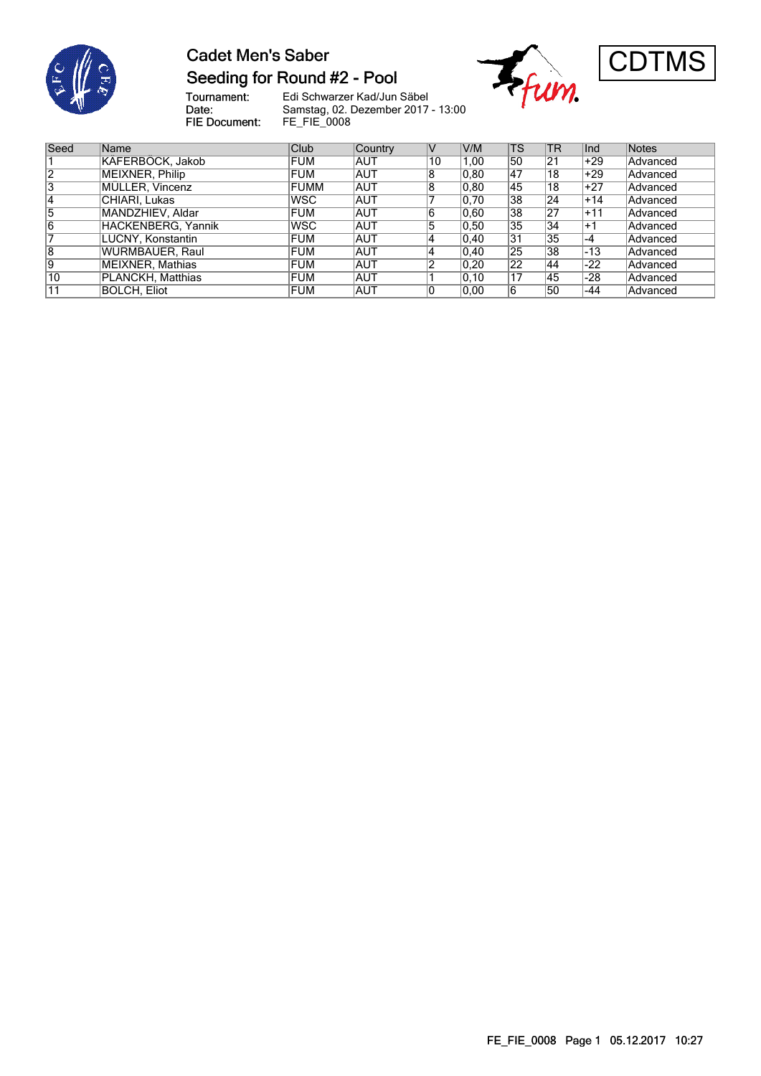

### **Cadet Men's Saber** Seeding for Round #2 - Pool

Tournament:<br>Date: FIE Document:

Edi Schwarzer Kad/Jun Säbel Samstag, 02. Dezember 2017 - 13:00 FE\_FIE\_0008





| Seed | Name               | <b>Club</b> | Country    |    | V/M            | <b>TS</b>       | <sup>'</sup> TR | l <sub>Ind</sub> | Notes    |
|------|--------------------|-------------|------------|----|----------------|-----------------|-----------------|------------------|----------|
|      | KÄFERBÖCK, Jakob   | <b>FUM</b>  | <b>AUT</b> | 10 | 1,00           | 50              | 21              | $+29$            | Advanced |
|      | MEIXNER, Philip    | <b>FUM</b>  | <b>AUT</b> | 8  | 0.80           | 47              | 18              | $+29$            | Advanced |
| 3    | MÜLLER, Vincenz    | <b>FUMM</b> | <b>AUT</b> | 8  | 0.80           | 145             | 18              | $+27$            | Advanced |
| 14   | CHIARI, Lukas      | <b>IWSC</b> | <b>AUT</b> |    | 0.70           | $\overline{38}$ | 24              | $+14$            | Advanced |
| 15   | MANDZHIEV, Aldar   | <b>FUM</b>  | <b>AUT</b> | 6  | 0.60           | 38              | 27              | $+11$            | Advanced |
| 6    | HACKENBERG, Yannik | lwsc        | <b>AUT</b> | b  | 0.50           | 35              | 34              | ∣+1              | Advanced |
|      | LUCNY, Konstantin  | <b>FUM</b>  | <b>AUT</b> | 4  | $ 0,40\rangle$ | $\overline{31}$ | 35              | $-4$             | Advanced |
| 8    | WURMBAUER, Raul    | <b>FUM</b>  | <b>AUT</b> | 4  | $ 0,40\rangle$ | $\overline{25}$ | 38              | $-13$            | Advanced |
| Ι9   | MEIXNER, Mathias   | <b>FUM</b>  | <b>AUT</b> |    | 0,20           | 22              | 44              | $-22$            | Advanced |
| 10   | PLANCKH, Matthias  | <b>FUM</b>  | <b>AUT</b> |    | 0.10           | 17              | 145             | $-28$            | Advanced |
|      | BOLCH, Eliot       | <b>FUM</b>  | <b>AUT</b> |    | 0.00           | 6               | 50              | -44              | Advanced |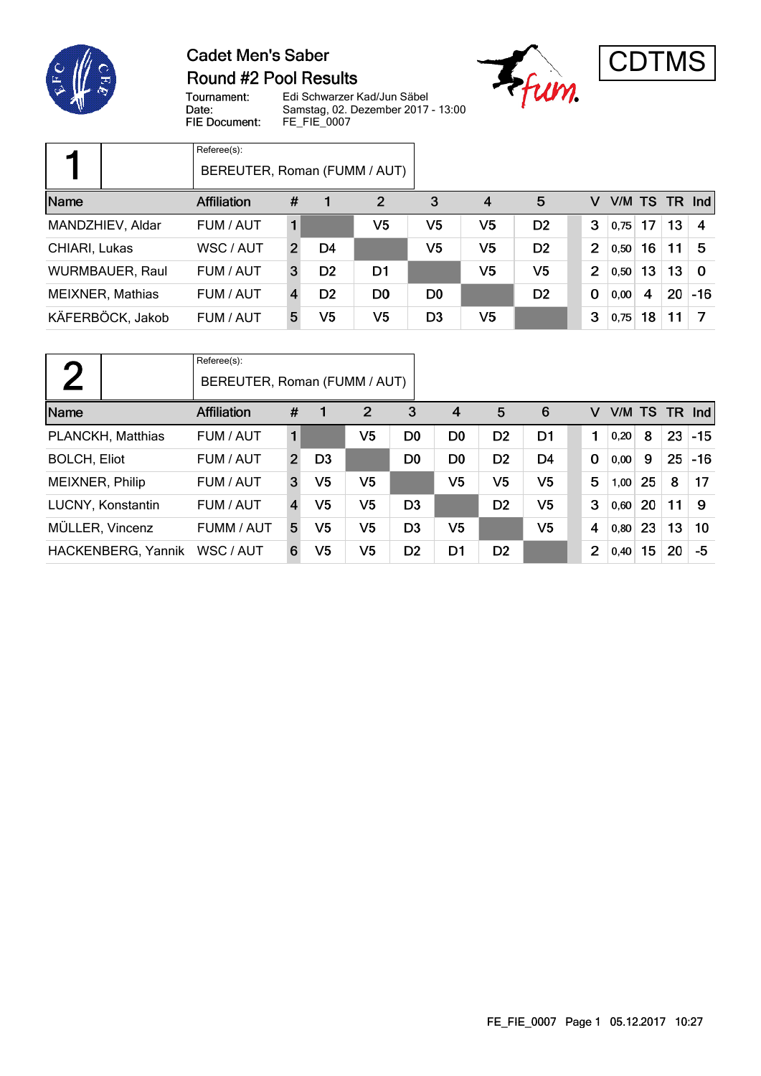

## **Cadet Men's Saber Round #2 Pool Results**





Tournament: Edi Schwarzer Kad/Jun Säbel Date: Samstag, 02. Dezember 2017 - 13:00 FIE Document: FE\_FIE\_0007

|                         | Referee(s):<br>BEREUTER, Roman (FUMM / AUT) |              |                |                |                |                |                |                |                 |    |    |          |
|-------------------------|---------------------------------------------|--------------|----------------|----------------|----------------|----------------|----------------|----------------|-----------------|----|----|----------|
| Name                    | <b>Affiliation</b>                          | #            |                | 2              | 3              | 4              | 5              | v              | $V/M$ TS TR Ind |    |    |          |
| MANDZHIEV, Aldar        | FUM / AUT                                   |              |                | V5             | V5             | V5             | D <sub>2</sub> | 3              | 0.75            | 17 | 13 | -4       |
| CHIARI, Lukas           | WSC / AUT                                   | $\mathbf{2}$ | D4             |                | V5             | V5             | D <sub>2</sub> | $\overline{2}$ | 0,50            | 16 | 11 | -5       |
| <b>WURMBAUER, Raul</b>  | FUM / AUT                                   | 3            | D <sub>2</sub> | D <sub>1</sub> |                | V <sub>5</sub> | V5             | $\overline{2}$ | 0,50            | 13 | 13 | $\Omega$ |
| <b>MEIXNER, Mathias</b> | FUM / AUT                                   | 4            | D <sub>2</sub> | D <sub>0</sub> | D <sub>0</sub> |                | D <sub>2</sub> | $\mathbf 0$    | 0,00            | 4  | 20 | $-16$    |
| KÄFERBÖCK, Jakob        | FUM / AUT                                   | 5            | V5             | V5             | D <sub>3</sub> | V <sub>5</sub> |                | 3              | 0,75            | 18 | 11 |          |

| $\mathbf{\Omega}$   | Referee(s):<br>BEREUTER, Roman (FUMM / AUT) |                |                |                |                |                |                |                |                |           |    |    |            |
|---------------------|---------------------------------------------|----------------|----------------|----------------|----------------|----------------|----------------|----------------|----------------|-----------|----|----|------------|
| Name                | <b>Affiliation</b>                          | #              |                | $\overline{2}$ | 3              | $\overline{4}$ | 5              | 6              | v              | V/M TS TR |    |    | <b>Ind</b> |
| PLANCKH, Matthias   | FUM / AUT                                   | 1              |                | V5             | D <sub>0</sub> | D <sub>0</sub> | D <sub>2</sub> | D <sub>1</sub> | 1              | 0,20      | 8  | 23 | $-15$      |
| <b>BOLCH, Eliot</b> | FUM / AUT                                   | $\overline{2}$ | D <sub>3</sub> |                | D <sub>0</sub> | D <sub>0</sub> | D <sub>2</sub> | D <sub>4</sub> | $\mathbf 0$    | 0,00      | 9  | 25 | $-16$      |
| MEIXNER, Philip     | FUM / AUT                                   | 3              | V5             | V5             |                | V <sub>5</sub> | V <sub>5</sub> | V <sub>5</sub> | 5              | 1,00      | 25 | 8  | 17         |
| LUCNY, Konstantin   | FUM / AUT                                   | 4              | V5             | V5             | D <sub>3</sub> |                | D <sub>2</sub> | V5             | 3              | 0,60      | 20 | 11 | 9          |
| MÜLLER, Vincenz     | FUMM / AUT                                  | 5              | V5             | V5             | D <sub>3</sub> | V <sub>5</sub> |                | V <sub>5</sub> | 4              | 0,80      | 23 | 13 | 10         |
| HACKENBERG, Yannik  | WSC / AUT                                   | 6              | V5             | V5             | D <sub>2</sub> | D1             | D <sub>2</sub> |                | $\overline{2}$ | 0,40      | 15 | 20 | -5         |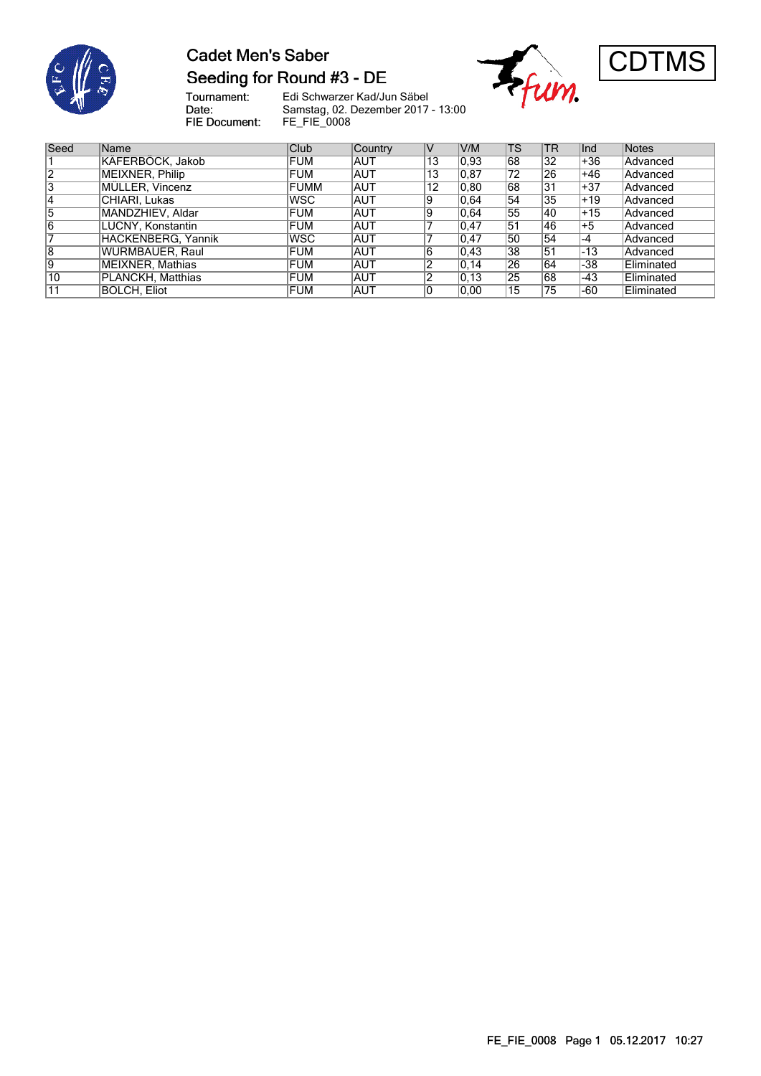

#### **Cadet Men's Saber** Seeding for Round #3 - DE





Tournament:<br>Date: Edi Schwarzer Kad/Jun Säbel Samstag, 02. Dezember 2017 - 13:00 FIE Document: FE\_FIE\_0008

| Seed | <b>Name</b>            | <b>Club</b> | Country    |    | V/M            | <b>TS</b> | <b>TR</b> | Ind   | Notes           |
|------|------------------------|-------------|------------|----|----------------|-----------|-----------|-------|-----------------|
|      | KÄFERBÖCK, Jakob       | FUM         | IAUT       | 13 | $ 0.93\rangle$ | 68        | 32        | +36   | <b>Advanced</b> |
| 2    | MEIXNER, Philip        | <b>FUM</b>  | <b>AUT</b> | 13 | 0.87           | 72        | 26        | +46   | Advanced        |
| 3    | MÜLLER, Vincenz        | <b>FUMM</b> | <b>AUT</b> | 12 | 0.80           | 68        | 31        | $+37$ | Advanced        |
| 14   | CHIARI. Lukas          | <b>WSC</b>  | <b>AUT</b> | 19 | 0.64           | 54        | 35        | $+19$ | Advanced        |
| 5    | MANDZHIEV, Aldar       | <b>FUM</b>  | IAUT       | 19 | 0.64           | 55        | 40        | $+15$ | Advanced        |
| 16   | LUCNY, Konstantin      | <b>FUM</b>  | <b>AUT</b> |    | 0.47           | 51        | 46        | l+5   | Advanced        |
|      | HACKENBERG, Yannik     | <b>WSC</b>  | <b>AUT</b> |    | 0.47           | 50        | 54        | $-4$  | Advanced        |
| 8    | <b>WURMBAUER, Raul</b> | <b>FUM</b>  | IAUT       | lb | 0.43           | 38        | 51        | $-13$ | Advanced        |
| Ι9   | MEIXNER, Mathias       | FUM         | IAUT       |    | 0, 14          | 26        | 64        | -38   | Eliminated      |
| 10   | PLANCKH, Matthias      | <b>FUM</b>  | <b>AUT</b> |    | 0,13           | 25        | 68        | -43   | Eliminated      |
|      | <b>BOLCH. Eliot</b>    | <b>FUM</b>  | IAUT       |    | 0.00           | 15        | 75        | -60   | Eliminated      |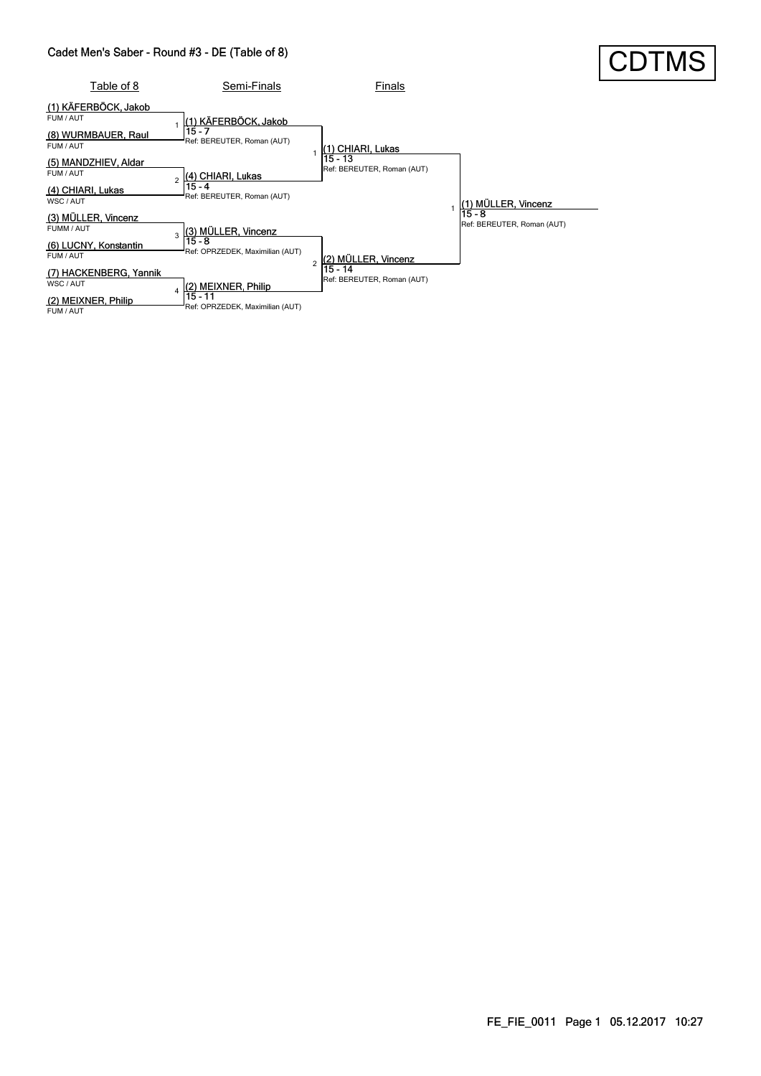#### Cadet Men's Saber - Round #3 - DE (Table of 8)

|                                                                       | Cadet Men's Saber - Round #3 - DE (Table of 8)                              |                                       |                                        | <b>CDTMS</b> |
|-----------------------------------------------------------------------|-----------------------------------------------------------------------------|---------------------------------------|----------------------------------------|--------------|
| Table of 8                                                            | Semi-Finals                                                                 | Finals                                |                                        |              |
| (1) KÄFERBÖCK, Jakob<br>FUM / AUT<br>(8) WURMBAUER, Raul<br>FUM / AUT | (1) KÄFERBÖCK, Jakob<br>15 - 7<br>Ref: BEREUTER, Roman (AUT)                | (1) CHIARI, Lukas                     |                                        |              |
| (5) MANDZHIEV, Aldar<br>FUM / AUT<br>(4) CHIARI, Lukas<br>WSC / AUT   | (4) CHIARI, Lukas<br>$\overline{a}$<br>15 - 4<br>Ref: BEREUTER, Roman (AUT) | 15 - 13<br>Ref: BEREUTER, Roman (AUT) | ) MÜLLER, Vincenz                      |              |
| (3) MÜLLER, Vincenz<br>FUMM / AUT                                     | $(3)$ MÜLLER, Vincenz<br>3<br>$15 - 8$                                      |                                       | $15 - 8$<br>Ref: BEREUTER, Roman (AUT) |              |
| (6) LUCNY, Konstantin<br>FUM / AUT                                    | Ref: OPRZEDEK, Maximilian (AUT)                                             | (2) MÜLLER, Vincenz<br>$\overline{2}$ |                                        |              |
| (7) HACKENBERG, Yannik<br>WSC / AUT                                   | (2) MEIXNER, Philip<br>4                                                    | 15 - 14<br>Ref: BEREUTER, Roman (AUT) |                                        |              |
| (2) MEIXNER, Philip<br>FUM / AUT                                      | $15 - 11$<br>Ref: OPRZEDEK, Maximilian (AUT)                                |                                       |                                        |              |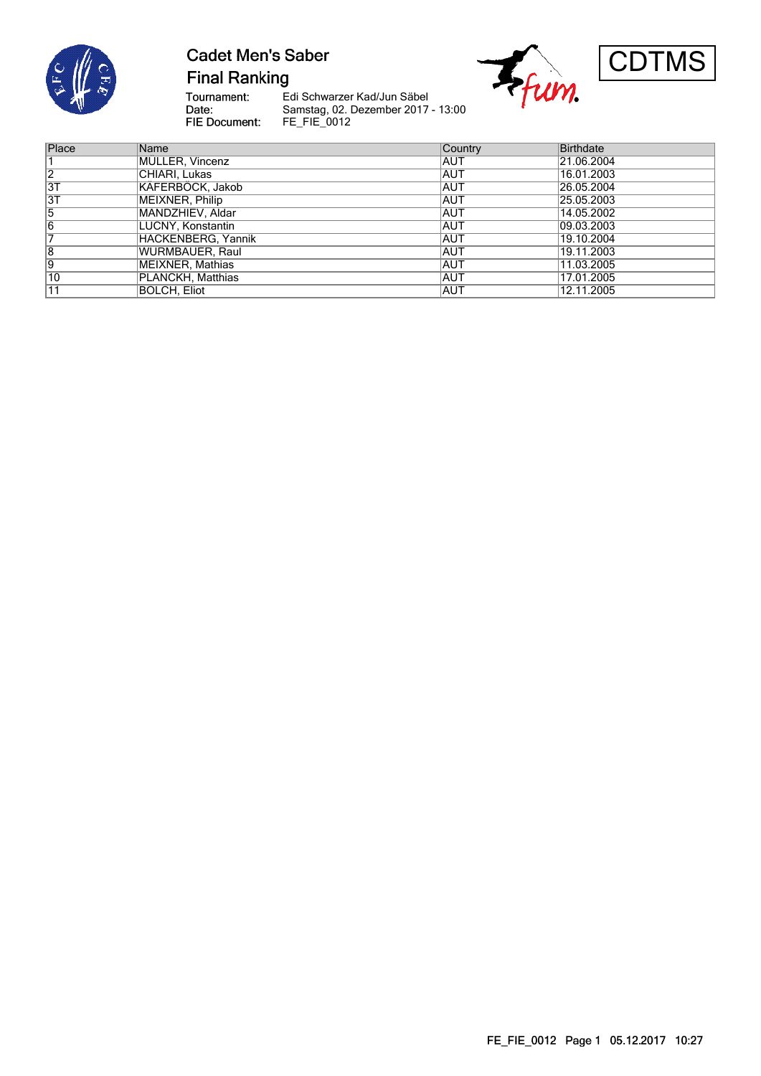

# **Cadet Men's Saber**

**Final Ranking** 

Tournament:<br>Date: FIE Document:

Edi Schwarzer Kad/Jun Säbel Samstag, 02. Dezember 2017 - 13:00 FE\_FIE\_0012





| Place           | Name               | Country    | <b>Birthdate</b> |
|-----------------|--------------------|------------|------------------|
|                 | MÜLLER, Vincenz    | IAUT       | 21.06.2004       |
| 12              | CHIARI. Lukas      | IAUT       | 16.01.2003       |
| $\overline{3T}$ | KÄFERBÖCK, Jakob   | IAUT       | 26.05.2004       |
| $\overline{3}$  | MEIXNER, Philip    | <b>AUT</b> | 25.05.2003       |
| 5               | MANDZHIEV, Aldar   | IAUT       | 14.05.2002       |
| $\overline{6}$  | LUCNY, Konstantin  | IAUT       | 109.03.2003      |
|                 | HACKENBERG. Yannik | IAUT       | 19.10.2004       |
| 18              | WURMBAUER, Raul    | IAUT       | 19.11.2003       |
| Ι9              | MEIXNER, Mathias   | IAUT       | 11.03.2005       |
| 10              | PLANCKH, Matthias  | IAUT       | 17.01.2005       |
| 11              | BOLCH. Eliot       | <b>AUT</b> | 12.11.2005       |